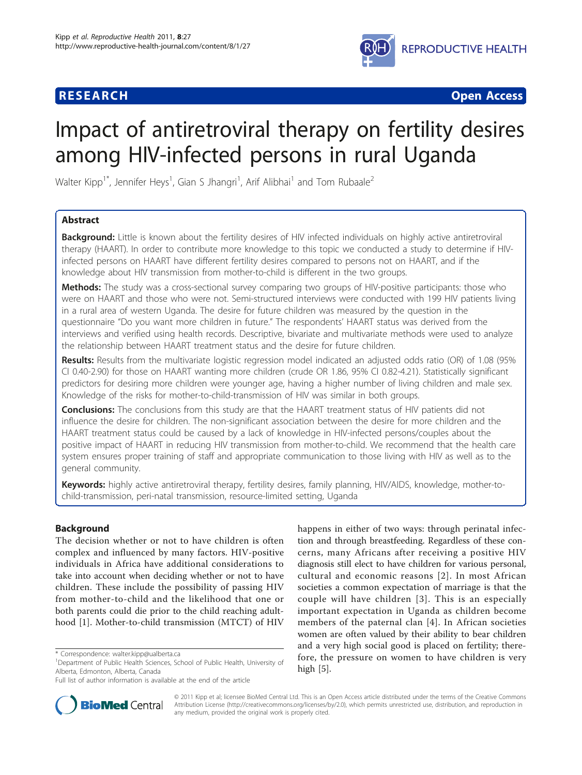

**RESEARCH CONSTRUCTION CONSTRUCTS** 

# Impact of antiretroviral therapy on fertility desires among HIV-infected persons in rural Uganda

Walter Kipp<sup>1\*</sup>, Jennifer Heys<sup>1</sup>, Gian S Jhangri<sup>1</sup>, Arif Alibhai<sup>1</sup> and Tom Rubaale<sup>2</sup>

# Abstract

Background: Little is known about the fertility desires of HIV infected individuals on highly active antiretroviral therapy (HAART). In order to contribute more knowledge to this topic we conducted a study to determine if HIVinfected persons on HAART have different fertility desires compared to persons not on HAART, and if the knowledge about HIV transmission from mother-to-child is different in the two groups.

Methods: The study was a cross-sectional survey comparing two groups of HIV-positive participants: those who were on HAART and those who were not. Semi-structured interviews were conducted with 199 HIV patients living in a rural area of western Uganda. The desire for future children was measured by the question in the questionnaire "Do you want more children in future." The respondents' HAART status was derived from the interviews and verified using health records. Descriptive, bivariate and multivariate methods were used to analyze the relationship between HAART treatment status and the desire for future children.

Results: Results from the multivariate logistic regression model indicated an adjusted odds ratio (OR) of 1.08 (95% CI 0.40-2.90) for those on HAART wanting more children (crude OR 1.86, 95% CI 0.82-4.21). Statistically significant predictors for desiring more children were younger age, having a higher number of living children and male sex. Knowledge of the risks for mother-to-child-transmission of HIV was similar in both groups.

**Conclusions:** The conclusions from this study are that the HAART treatment status of HIV patients did not influence the desire for children. The non-significant association between the desire for more children and the HAART treatment status could be caused by a lack of knowledge in HIV-infected persons/couples about the positive impact of HAART in reducing HIV transmission from mother-to-child. We recommend that the health care system ensures proper training of staff and appropriate communication to those living with HIV as well as to the general community.

Keywords: highly active antiretroviral therapy, fertility desires, family planning, HIV/AIDS, knowledge, mother-tochild-transmission, peri-natal transmission, resource-limited setting, Uganda

# Background

The decision whether or not to have children is often complex and influenced by many factors. HIV-positive individuals in Africa have additional considerations to take into account when deciding whether or not to have children. These include the possibility of passing HIV from mother-to-child and the likelihood that one or both parents could die prior to the child reaching adulthood [[1\]](#page-8-0). Mother-to-child transmission (MTCT) of HIV

happens in either of two ways: through perinatal infection and through breastfeeding. Regardless of these concerns, many Africans after receiving a positive HIV diagnosis still elect to have children for various personal, cultural and economic reasons [[2\]](#page-8-0). In most African societies a common expectation of marriage is that the couple will have children [[3](#page-8-0)]. This is an especially important expectation in Uganda as children become members of the paternal clan [[4](#page-8-0)]. In African societies women are often valued by their ability to bear children and a very high social good is placed on fertility; therefore, the pressure on women to have children is very high [[5\]](#page-8-0).



© 2011 Kipp et al; licensee BioMed Central Ltd. This is an Open Access article distributed under the terms of the Creative Commons Attribution License [\(http://creativecommons.org/licenses/by/2.0](http://creativecommons.org/licenses/by/2.0)), which permits unrestricted use, distribution, and reproduction in any medium, provided the original work is properly cited.

<sup>\*</sup> Correspondence: [walter.kipp@ualberta.ca](mailto:walter.kipp@ualberta.ca)

<sup>&</sup>lt;sup>1</sup>Department of Public Health Sciences, School of Public Health, University of Alberta, Edmonton, Alberta, Canada

Full list of author information is available at the end of the article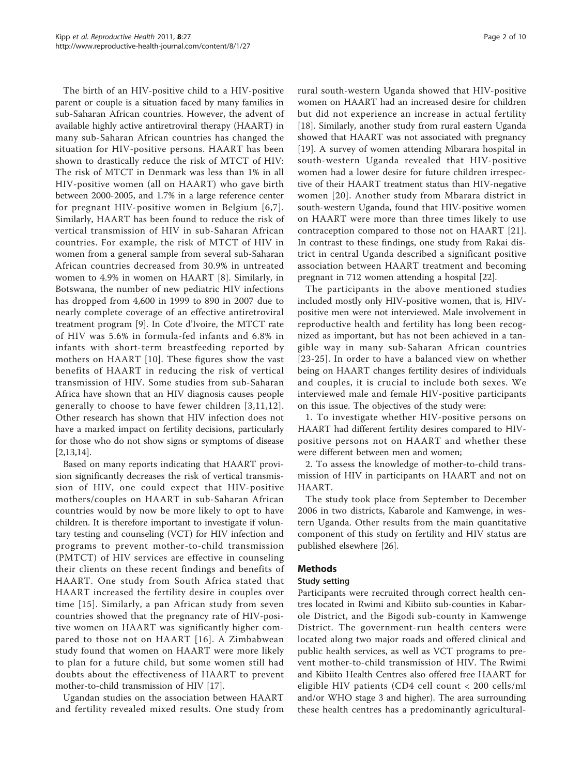The birth of an HIV-positive child to a HIV-positive parent or couple is a situation faced by many families in sub-Saharan African countries. However, the advent of available highly active antiretroviral therapy (HAART) in many sub-Saharan African countries has changed the situation for HIV-positive persons. HAART has been shown to drastically reduce the risk of MTCT of HIV: The risk of MTCT in Denmark was less than 1% in all HIV-positive women (all on HAART) who gave birth between 2000-2005, and 1.7% in a large reference center for pregnant HIV-positive women in Belgium [[6,7\]](#page-8-0). Similarly, HAART has been found to reduce the risk of vertical transmission of HIV in sub-Saharan African countries. For example, the risk of MTCT of HIV in women from a general sample from several sub-Saharan African countries decreased from 30.9% in untreated women to 4.9% in women on HAART [[8\]](#page-8-0). Similarly, in Botswana, the number of new pediatric HIV infections has dropped from 4,600 in 1999 to 890 in 2007 due to nearly complete coverage of an effective antiretroviral treatment program [[9\]](#page-8-0). In Cote d'Ivoire, the MTCT rate of HIV was 5.6% in formula-fed infants and 6.8% in infants with short-term breastfeeding reported by mothers on HAART [\[10\]](#page-8-0). These figures show the vast benefits of HAART in reducing the risk of vertical transmission of HIV. Some studies from sub-Saharan Africa have shown that an HIV diagnosis causes people generally to choose to have fewer children [[3,11,12\]](#page-8-0). Other research has shown that HIV infection does not have a marked impact on fertility decisions, particularly for those who do not show signs or symptoms of disease [[2,13,14](#page-8-0)].

Based on many reports indicating that HAART provision significantly decreases the risk of vertical transmission of HIV, one could expect that HIV-positive mothers/couples on HAART in sub-Saharan African countries would by now be more likely to opt to have children. It is therefore important to investigate if voluntary testing and counseling (VCT) for HIV infection and programs to prevent mother-to-child transmission (PMTCT) of HIV services are effective in counseling their clients on these recent findings and benefits of HAART. One study from South Africa stated that HAART increased the fertility desire in couples over time [[15](#page-8-0)]. Similarly, a pan African study from seven countries showed that the pregnancy rate of HIV-positive women on HAART was significantly higher compared to those not on HAART [[16](#page-8-0)]. A Zimbabwean study found that women on HAART were more likely to plan for a future child, but some women still had doubts about the effectiveness of HAART to prevent mother-to-child transmission of HIV [[17\]](#page-8-0).

Ugandan studies on the association between HAART and fertility revealed mixed results. One study from rural south-western Uganda showed that HIV-positive women on HAART had an increased desire for children but did not experience an increase in actual fertility [[18\]](#page-8-0). Similarly, another study from rural eastern Uganda showed that HAART was not associated with pregnancy [[19\]](#page-8-0). A survey of women attending Mbarara hospital in south-western Uganda revealed that HIV-positive women had a lower desire for future children irrespective of their HAART treatment status than HIV-negative women [[20\]](#page-8-0). Another study from Mbarara district in south-western Uganda, found that HIV-positive women on HAART were more than three times likely to use contraception compared to those not on HAART [[21](#page-8-0)]. In contrast to these findings, one study from Rakai district in central Uganda described a significant positive association between HAART treatment and becoming pregnant in 712 women attending a hospital [[22\]](#page-8-0).

The participants in the above mentioned studies included mostly only HIV-positive women, that is, HIVpositive men were not interviewed. Male involvement in reproductive health and fertility has long been recognized as important, but has not been achieved in a tangible way in many sub-Saharan African countries [[23-25\]](#page-8-0). In order to have a balanced view on whether being on HAART changes fertility desires of individuals and couples, it is crucial to include both sexes. We interviewed male and female HIV-positive participants on this issue. The objectives of the study were:

1. To investigate whether HIV-positive persons on HAART had different fertility desires compared to HIVpositive persons not on HAART and whether these were different between men and women;

2. To assess the knowledge of mother-to-child transmission of HIV in participants on HAART and not on HAART.

The study took place from September to December 2006 in two districts, Kabarole and Kamwenge, in western Uganda. Other results from the main quantitative component of this study on fertility and HIV status are published elsewhere [\[26\]](#page-8-0).

# Methods

# Study setting

Participants were recruited through correct health centres located in Rwimi and Kibiito sub-counties in Kabarole District, and the Bigodi sub-county in Kamwenge District. The government-run health centers were located along two major roads and offered clinical and public health services, as well as VCT programs to prevent mother-to-child transmission of HIV. The Rwimi and Kibiito Health Centres also offered free HAART for eligible HIV patients (CD4 cell count < 200 cells/ml and/or WHO stage 3 and higher). The area surrounding these health centres has a predominantly agricultural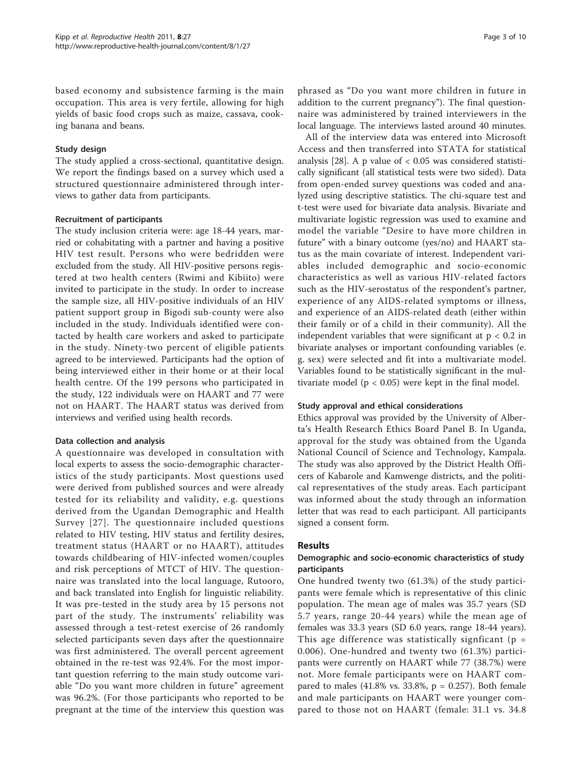based economy and subsistence farming is the main occupation. This area is very fertile, allowing for high yields of basic food crops such as maize, cassava, cooking banana and beans.

# Study design

The study applied a cross-sectional, quantitative design. We report the findings based on a survey which used a structured questionnaire administered through interviews to gather data from participants.

# Recruitment of participants

The study inclusion criteria were: age 18-44 years, married or cohabitating with a partner and having a positive HIV test result. Persons who were bedridden were excluded from the study. All HIV-positive persons registered at two health centers (Rwimi and Kibiito) were invited to participate in the study. In order to increase the sample size, all HIV-positive individuals of an HIV patient support group in Bigodi sub-county were also included in the study. Individuals identified were contacted by health care workers and asked to participate in the study. Ninety-two percent of eligible patients agreed to be interviewed. Participants had the option of being interviewed either in their home or at their local health centre. Of the 199 persons who participated in the study, 122 individuals were on HAART and 77 were not on HAART. The HAART status was derived from interviews and verified using health records.

# Data collection and analysis

A questionnaire was developed in consultation with local experts to assess the socio-demographic characteristics of the study participants. Most questions used were derived from published sources and were already tested for its reliability and validity, e.g. questions derived from the Ugandan Demographic and Health Survey [[27\]](#page-8-0). The questionnaire included questions related to HIV testing, HIV status and fertility desires, treatment status (HAART or no HAART), attitudes towards childbearing of HIV-infected women/couples and risk perceptions of MTCT of HIV. The questionnaire was translated into the local language, Rutooro, and back translated into English for linguistic reliability. It was pre-tested in the study area by 15 persons not part of the study. The instruments' reliability was assessed through a test-retest exercise of 26 randomly selected participants seven days after the questionnaire was first administered. The overall percent agreement obtained in the re-test was 92.4%. For the most important question referring to the main study outcome variable "Do you want more children in future" agreement was 96.2%. (For those participants who reported to be pregnant at the time of the interview this question was Page 3 of 10

phrased as "Do you want more children in future in addition to the current pregnancy"). The final questionnaire was administered by trained interviewers in the local language. The interviews lasted around 40 minutes.

All of the interview data was entered into Microsoft Access and then transferred into STATA for statistical analysis [\[28\]](#page-8-0). A p value of  $< 0.05$  was considered statistically significant (all statistical tests were two sided). Data from open-ended survey questions was coded and analyzed using descriptive statistics. The chi-square test and t-test were used for bivariate data analysis. Bivariate and multivariate logistic regression was used to examine and model the variable "Desire to have more children in future" with a binary outcome (yes/no) and HAART status as the main covariate of interest. Independent variables included demographic and socio-economic characteristics as well as various HIV-related factors such as the HIV-serostatus of the respondent's partner, experience of any AIDS-related symptoms or illness, and experience of an AIDS-related death (either within their family or of a child in their community). All the independent variables that were significant at  $p < 0.2$  in bivariate analyses or important confounding variables (e. g. sex) were selected and fit into a multivariate model. Variables found to be statistically significant in the multivariate model ( $p < 0.05$ ) were kept in the final model.

# Study approval and ethical considerations

Ethics approval was provided by the University of Alberta's Health Research Ethics Board Panel B. In Uganda, approval for the study was obtained from the Uganda National Council of Science and Technology, Kampala. The study was also approved by the District Health Officers of Kabarole and Kamwenge districts, and the political representatives of the study areas. Each participant was informed about the study through an information letter that was read to each participant. All participants signed a consent form.

# Results

# Demographic and socio-economic characteristics of study participants

One hundred twenty two (61.3%) of the study participants were female which is representative of this clinic population. The mean age of males was 35.7 years (SD 5.7 years, range 20-44 years) while the mean age of females was 33.3 years (SD 6.0 years, range 18-44 years). This age difference was statistically signficant ( $p =$ 0.006). One-hundred and twenty two (61.3%) participants were currently on HAART while 77 (38.7%) were not. More female participants were on HAART compared to males  $(41.8\% \text{ vs. } 33.8\% , p = 0.257)$ . Both female and male participants on HAART were younger compared to those not on HAART (female: 31.1 vs. 34.8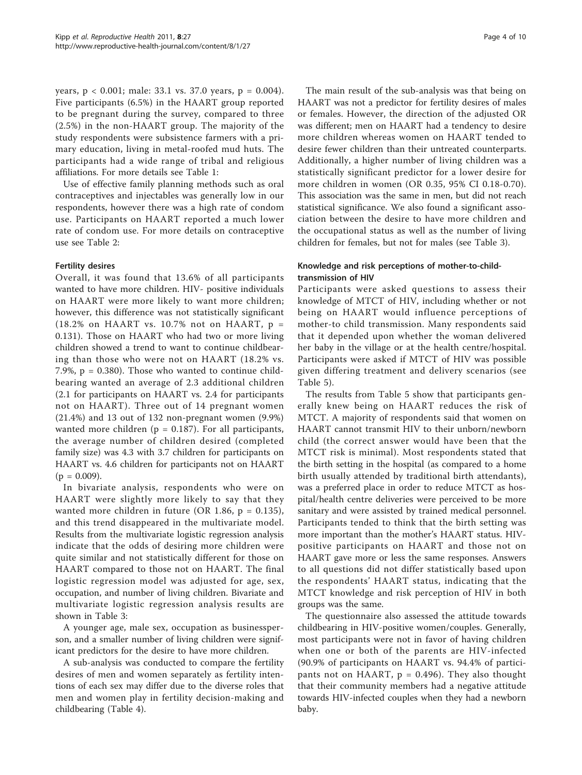years, p < 0.001; male: 33.1 vs. 37.0 years, p = 0.004). Five participants (6.5%) in the HAART group reported to be pregnant during the survey, compared to three (2.5%) in the non-HAART group. The majority of the study respondents were subsistence farmers with a primary education, living in metal-roofed mud huts. The participants had a wide range of tribal and religious affiliations. For more details see Table [1:](#page-4-0)

Use of effective family planning methods such as oral contraceptives and injectables was generally low in our respondents, however there was a high rate of condom use. Participants on HAART reported a much lower rate of condom use. For more details on contraceptive use see Table [2](#page-5-0):

# Fertility desires

Overall, it was found that 13.6% of all participants wanted to have more children. HIV- positive individuals on HAART were more likely to want more children; however, this difference was not statistically significant  $(18.2\%$  on HAART vs. 10.7% not on HAART,  $p =$ 0.131). Those on HAART who had two or more living children showed a trend to want to continue childbearing than those who were not on HAART (18.2% vs. 7.9%,  $p = 0.380$ . Those who wanted to continue childbearing wanted an average of 2.3 additional children (2.1 for participants on HAART vs. 2.4 for participants not on HAART). Three out of 14 pregnant women (21.4%) and 13 out of 132 non-pregnant women (9.9%) wanted more children ( $p = 0.187$ ). For all participants, the average number of children desired (completed family size) was 4.3 with 3.7 children for participants on HAART vs. 4.6 children for participants not on HAART  $(p = 0.009)$ .

In bivariate analysis, respondents who were on HAART were slightly more likely to say that they wanted more children in future (OR 1.86,  $p = 0.135$ ), and this trend disappeared in the multivariate model. Results from the multivariate logistic regression analysis indicate that the odds of desiring more children were quite similar and not statistically different for those on HAART compared to those not on HAART. The final logistic regression model was adjusted for age, sex, occupation, and number of living children. Bivariate and multivariate logistic regression analysis results are shown in Table [3](#page-6-0):

A younger age, male sex, occupation as businessperson, and a smaller number of living children were significant predictors for the desire to have more children.

A sub-analysis was conducted to compare the fertility desires of men and women separately as fertility intentions of each sex may differ due to the diverse roles that men and women play in fertility decision-making and childbearing (Table [4](#page-7-0)).

The main result of the sub-analysis was that being on HAART was not a predictor for fertility desires of males or females. However, the direction of the adjusted OR was different; men on HAART had a tendency to desire more children whereas women on HAART tended to desire fewer children than their untreated counterparts. Additionally, a higher number of living children was a statistically significant predictor for a lower desire for more children in women (OR 0.35, 95% CI 0.18-0.70). This association was the same in men, but did not reach statistical significance. We also found a significant association between the desire to have more children and the occupational status as well as the number of living children for females, but not for males (see Table [3\)](#page-6-0).

# Knowledge and risk perceptions of mother-to-childtransmission of HIV

Participants were asked questions to assess their knowledge of MTCT of HIV, including whether or not being on HAART would influence perceptions of mother-to child transmission. Many respondents said that it depended upon whether the woman delivered her baby in the village or at the health centre/hospital. Participants were asked if MTCT of HIV was possible given differing treatment and delivery scenarios (see Table [5](#page-7-0)).

The results from Table [5](#page-7-0) show that participants generally knew being on HAART reduces the risk of MTCT. A majority of respondents said that women on HAART cannot transmit HIV to their unborn/newborn child (the correct answer would have been that the MTCT risk is minimal). Most respondents stated that the birth setting in the hospital (as compared to a home birth usually attended by traditional birth attendants), was a preferred place in order to reduce MTCT as hospital/health centre deliveries were perceived to be more sanitary and were assisted by trained medical personnel. Participants tended to think that the birth setting was more important than the mother's HAART status. HIVpositive participants on HAART and those not on HAART gave more or less the same responses. Answers to all questions did not differ statistically based upon the respondents' HAART status, indicating that the MTCT knowledge and risk perception of HIV in both groups was the same.

The questionnaire also assessed the attitude towards childbearing in HIV-positive women/couples. Generally, most participants were not in favor of having children when one or both of the parents are HIV-infected (90.9% of participants on HAART vs. 94.4% of participants not on HAART,  $p = 0.496$ ). They also thought that their community members had a negative attitude towards HIV-infected couples when they had a newborn baby.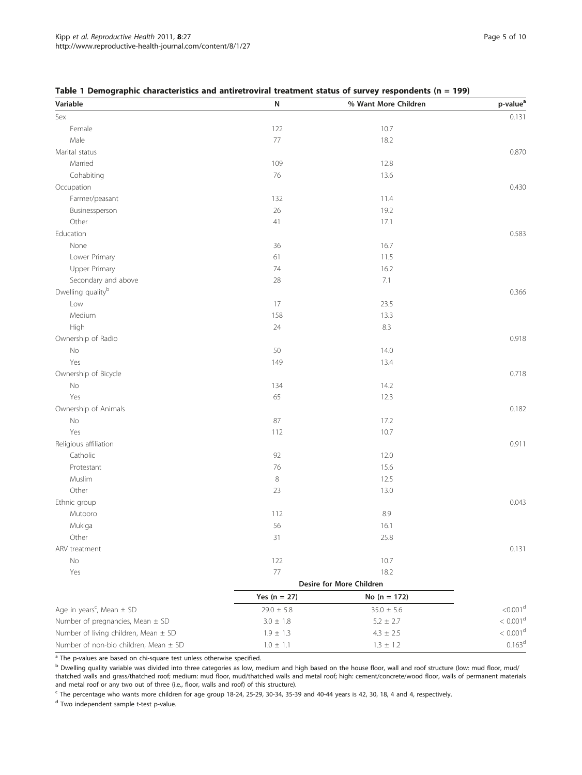| Variable                                  | N                                                            | % Want More Children | p-value <sup>a</sup>  |
|-------------------------------------------|--------------------------------------------------------------|----------------------|-----------------------|
| Sex                                       |                                                              |                      | 0.131                 |
| Female                                    | 122                                                          | 10.7                 |                       |
| Male                                      | 77                                                           | 18.2                 |                       |
| Marital status                            |                                                              |                      | 0.870                 |
| Married                                   | 109                                                          | 12.8                 |                       |
| Cohabiting                                | 76                                                           | 13.6                 |                       |
| Occupation                                |                                                              |                      | 0.430                 |
| Farmer/peasant                            | 132                                                          | 11.4                 |                       |
| Businessperson                            | 26                                                           | 19.2                 |                       |
| Other                                     | 41                                                           | 17.1                 |                       |
| Education                                 |                                                              |                      | 0.583                 |
| None                                      | 36                                                           | 16.7                 |                       |
| Lower Primary                             | 61                                                           | 11.5                 |                       |
| Upper Primary                             | 74                                                           | 16.2                 |                       |
| Secondary and above                       | 28                                                           | 7.1                  |                       |
| Dwelling quality <sup>b</sup>             |                                                              |                      | 0.366                 |
| Low                                       | $17\,$                                                       | 23.5                 |                       |
| Medium                                    | 158                                                          | 13.3                 |                       |
| High                                      | 24                                                           | 8.3                  |                       |
| Ownership of Radio                        |                                                              |                      | 0.918                 |
| No                                        | 50                                                           | 14.0                 |                       |
| Yes                                       | 149                                                          | 13.4                 |                       |
| Ownership of Bicycle                      |                                                              |                      | 0.718                 |
| No                                        | 134                                                          | 14.2                 |                       |
| Yes                                       | 65                                                           | 12.3                 |                       |
| Ownership of Animals                      |                                                              |                      | 0.182                 |
| No                                        | 87                                                           | 17.2                 |                       |
| Yes                                       | 112                                                          | 10.7                 |                       |
| Religious affiliation                     |                                                              |                      | 0.911                 |
| Catholic                                  | 92                                                           | 12.0                 |                       |
| Protestant                                | 76                                                           | 15.6                 |                       |
| Muslim                                    | $\,8\,$                                                      | 12.5                 |                       |
| Other                                     | 23                                                           | 13.0                 |                       |
| Ethnic group                              |                                                              |                      | 0.043                 |
| Mutooro                                   | 112                                                          | 8.9                  |                       |
| Mukiga                                    | 56                                                           | 16.1                 |                       |
| Other                                     | 31                                                           | 25.8                 |                       |
| ARV treatment                             |                                                              |                      | 0.131                 |
|                                           | 122                                                          | 10.7                 |                       |
| No<br>Yes                                 | 77                                                           | 18.2                 |                       |
|                                           |                                                              |                      |                       |
|                                           | Desire for More Children<br>Yes $(n = 27)$<br>No $(n = 172)$ |                      |                       |
|                                           |                                                              |                      |                       |
| Age in years <sup>c</sup> , Mean $\pm$ SD | $29.0 \pm 5.8$                                               | $35.0 \pm 5.6$       | ${<}0.001^\mathrm{d}$ |
| Number of pregnancies, Mean $\pm$ SD      | $3.0\,\pm\,1.8$                                              | $5.2 \pm 2.7$        | $<\,0.001^{\rm d}$    |
| Number of living children, Mean $\pm$ SD  | $1.9 \pm 1.3$                                                | $4.3 \pm 2.5$        | $<\,0.001^{\rm d}$    |
| Number of non-bio children, Mean ± SD     | $1.0\,\pm\,1.1$                                              | $1.3 \pm 1.2$        | $0.163^{d}$           |

### <span id="page-4-0"></span>Table 1 Demographic characteristics and antiretroviral treatment status of survey respondents ( $n = 199$ )

<sup>a</sup> The p-values are based on chi-square test unless otherwise specified.

<sup>b</sup> Dwelling quality variable was divided into three categories as low, medium and high based on the house floor, wall and roof structure (low: mud floor, mud/ thatched walls and grass/thatched roof; medium: mud floor, mud/thatched walls and metal roof; high: cement/concrete/wood floor, walls of permanent materials and metal roof or any two out of three (i.e., floor, walls and roof) of this structure).

<sup>c</sup> The percentage who wants more children for age group 18-24, 25-29, 30-34, 35-39 and 40-44 years is 42, 30, 18, 4 and 4, respectively.

<sup>d</sup> Two independent sample t-test p-value.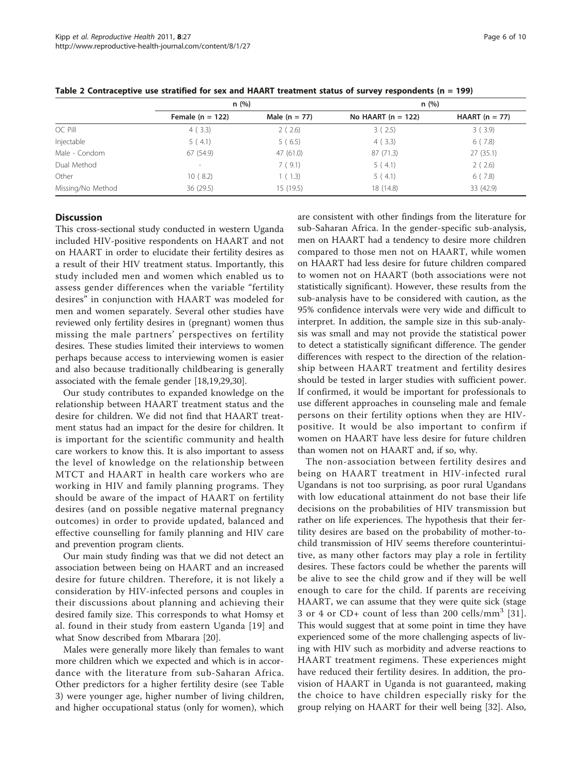|                   | n(%)                     |                 | n(%)                 |                    |
|-------------------|--------------------------|-----------------|----------------------|--------------------|
|                   | Female $(n = 122)$       | Male $(n = 77)$ | No HAART $(n = 122)$ | HAART ( $n = 77$ ) |
| OC Pill           | 4(3.3)                   | 2(2.6)          | 3(2.5)               | 3(3.9)             |
| Injectable        | 5(4.1)                   | 5(6.5)          | 4(3.3)               | 6(7.8)             |
| Male - Condom     | 67 (54.9)                | 47(61.0)        | 87 (71.3)            | 27(35.1)           |
| Dual Method       | $\overline{\phantom{a}}$ | 7(9.1)          | 5(4.1)               | 2(2.6)             |
| Other             | 10(8.2)                  | 1(1.3)          | 5(4.1)               | 6(7.8)             |
| Missing/No Method | 36 (29.5)                | 15(19.5)        | 18 (14.8)            | 33 (42.9)          |

<span id="page-5-0"></span>Table 2 Contraceptive use stratified for sex and HAART treatment status of survey respondents (n = 199)

# **Discussion**

This cross-sectional study conducted in western Uganda included HIV-positive respondents on HAART and not on HAART in order to elucidate their fertility desires as a result of their HIV treatment status. Importantly, this study included men and women which enabled us to assess gender differences when the variable "fertility desires" in conjunction with HAART was modeled for men and women separately. Several other studies have reviewed only fertility desires in (pregnant) women thus missing the male partners' perspectives on fertility desires. These studies limited their interviews to women perhaps because access to interviewing women is easier and also because traditionally childbearing is generally associated with the female gender [\[18,19,29,](#page-8-0)[30](#page-9-0)].

Our study contributes to expanded knowledge on the relationship between HAART treatment status and the desire for children. We did not find that HAART treatment status had an impact for the desire for children. It is important for the scientific community and health care workers to know this. It is also important to assess the level of knowledge on the relationship between MTCT and HAART in health care workers who are working in HIV and family planning programs. They should be aware of the impact of HAART on fertility desires (and on possible negative maternal pregnancy outcomes) in order to provide updated, balanced and effective counselling for family planning and HIV care and prevention program clients.

Our main study finding was that we did not detect an association between being on HAART and an increased desire for future children. Therefore, it is not likely a consideration by HIV-infected persons and couples in their discussions about planning and achieving their desired family size. This corresponds to what Homsy et al. found in their study from eastern Uganda [[19](#page-8-0)] and what Snow described from Mbarara [[20\]](#page-8-0).

Males were generally more likely than females to want more children which we expected and which is in accordance with the literature from sub-Saharan Africa. Other predictors for a higher fertility desire (see Table [3\)](#page-6-0) were younger age, higher number of living children, and higher occupational status (only for women), which are consistent with other findings from the literature for sub-Saharan Africa. In the gender-specific sub-analysis, men on HAART had a tendency to desire more children compared to those men not on HAART, while women on HAART had less desire for future children compared to women not on HAART (both associations were not statistically significant). However, these results from the sub-analysis have to be considered with caution, as the 95% confidence intervals were very wide and difficult to interpret. In addition, the sample size in this sub-analysis was small and may not provide the statistical power to detect a statistically significant difference. The gender differences with respect to the direction of the relationship between HAART treatment and fertility desires should be tested in larger studies with sufficient power. If confirmed, it would be important for professionals to use different approaches in counseling male and female persons on their fertility options when they are HIVpositive. It would be also important to confirm if women on HAART have less desire for future children than women not on HAART and, if so, why.

The non-association between fertility desires and being on HAART treatment in HIV-infected rural Ugandans is not too surprising, as poor rural Ugandans with low educational attainment do not base their life decisions on the probabilities of HIV transmission but rather on life experiences. The hypothesis that their fertility desires are based on the probability of mother-tochild transmission of HIV seems therefore counterintuitive, as many other factors may play a role in fertility desires. These factors could be whether the parents will be alive to see the child grow and if they will be well enough to care for the child. If parents are receiving HAART, we can assume that they were quite sick (stage 3 or 4 or CD+ count of less than 200 cells/mm<sup>3</sup> [[31](#page-9-0)]. This would suggest that at some point in time they have experienced some of the more challenging aspects of living with HIV such as morbidity and adverse reactions to HAART treatment regimens. These experiences might have reduced their fertility desires. In addition, the provision of HAART in Uganda is not guaranteed, making the choice to have children especially risky for the group relying on HAART for their well being [[32](#page-9-0)]. Also,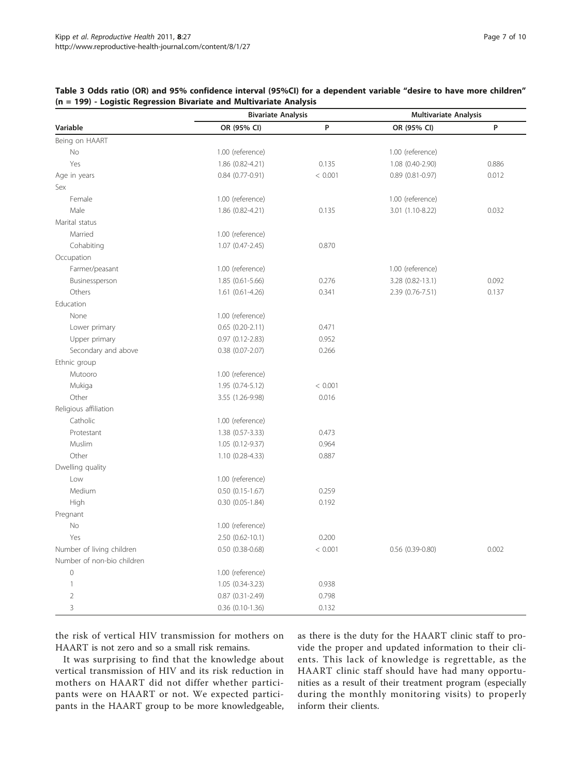|                            | <b>Bivariate Analysis</b> |         | <b>Multivariate Analysis</b> |       |  |
|----------------------------|---------------------------|---------|------------------------------|-------|--|
| Variable                   | OR (95% CI)               | P       | OR (95% CI)                  | P     |  |
| Being on HAART             |                           |         |                              |       |  |
| No                         | 1.00 (reference)          |         | 1.00 (reference)             |       |  |
| Yes                        | 1.86 (0.82-4.21)          | 0.135   | 1.08 (0.40-2.90)             | 0.886 |  |
| Age in years               | $0.84(0.77-0.91)$         | < 0.001 | $0.89$ $(0.81 - 0.97)$       | 0.012 |  |
| Sex                        |                           |         |                              |       |  |
| Female                     | 1.00 (reference)          |         | 1.00 (reference)             |       |  |
| Male                       | 1.86 (0.82-4.21)          | 0.135   | 3.01 (1.10-8.22)             | 0.032 |  |
| Marital status             |                           |         |                              |       |  |
| Married                    | 1.00 (reference)          |         |                              |       |  |
| Cohabiting                 | $1.07(0.47 - 2.45)$       | 0.870   |                              |       |  |
| Occupation                 |                           |         |                              |       |  |
| Farmer/peasant             | 1.00 (reference)          |         | 1.00 (reference)             |       |  |
| Businessperson             | 1.85 (0.61-5.66)          | 0.276   | 3.28 (0.82-13.1)             | 0.092 |  |
| Others                     | $1.61(0.61 - 4.26)$       | 0.341   | 2.39 (0.76-7.51)             | 0.137 |  |
| Education                  |                           |         |                              |       |  |
| None                       | 1.00 (reference)          |         |                              |       |  |
| Lower primary              | $0.65(0.20-2.11)$         | 0.471   |                              |       |  |
| Upper primary              | $0.97$ $(0.12 - 2.83)$    | 0.952   |                              |       |  |
| Secondary and above        | $0.38$ $(0.07 - 2.07)$    | 0.266   |                              |       |  |
| Ethnic group               |                           |         |                              |       |  |
| Mutooro                    | 1.00 (reference)          |         |                              |       |  |
| Mukiga                     | 1.95 (0.74-5.12)          | < 0.001 |                              |       |  |
| Other                      | 3.55 (1.26-9.98)          | 0.016   |                              |       |  |
| Religious affiliation      |                           |         |                              |       |  |
| Catholic                   | 1.00 (reference)          |         |                              |       |  |
| Protestant                 | 1.38 (0.57-3.33)          | 0.473   |                              |       |  |
| Muslim                     | 1.05 (0.12-9.37)          | 0.964   |                              |       |  |
| Other                      | 1.10 (0.28-4.33)          | 0.887   |                              |       |  |
| Dwelling quality           |                           |         |                              |       |  |
| Low                        | 1.00 (reference)          |         |                              |       |  |
| Medium                     | $0.50(0.15-1.67)$         | 0.259   |                              |       |  |
| High                       | $0.30(0.05-1.84)$         | 0.192   |                              |       |  |
| Pregnant                   |                           |         |                              |       |  |
| No                         | 1.00 (reference)          |         |                              |       |  |
| Yes                        | 2.50 (0.62-10.1)          | 0.200   |                              |       |  |
| Number of living children  | $0.50(0.38-0.68)$         | < 0.001 | $0.56$ $(0.39 - 0.80)$       | 0.002 |  |
| Number of non-bio children |                           |         |                              |       |  |
| $\overline{0}$             | 1.00 (reference)          |         |                              |       |  |
| $\mathbf{1}$               | 1.05 (0.34-3.23)          | 0.938   |                              |       |  |
| $\overline{2}$             | $0.87(0.31 - 2.49)$       | 0.798   |                              |       |  |
| 3                          | $0.36$ $(0.10-1.36)$      | 0.132   |                              |       |  |

# <span id="page-6-0"></span>Table 3 Odds ratio (OR) and 95% confidence interval (95%CI) for a dependent variable "desire to have more children" (n = 199) - Logistic Regression Bivariate and Multivariate Analysis

the risk of vertical HIV transmission for mothers on HAART is not zero and so a small risk remains.

It was surprising to find that the knowledge about vertical transmission of HIV and its risk reduction in mothers on HAART did not differ whether participants were on HAART or not. We expected participants in the HAART group to be more knowledgeable,

as there is the duty for the HAART clinic staff to provide the proper and updated information to their clients. This lack of knowledge is regrettable, as the HAART clinic staff should have had many opportunities as a result of their treatment program (especially during the monthly monitoring visits) to properly inform their clients.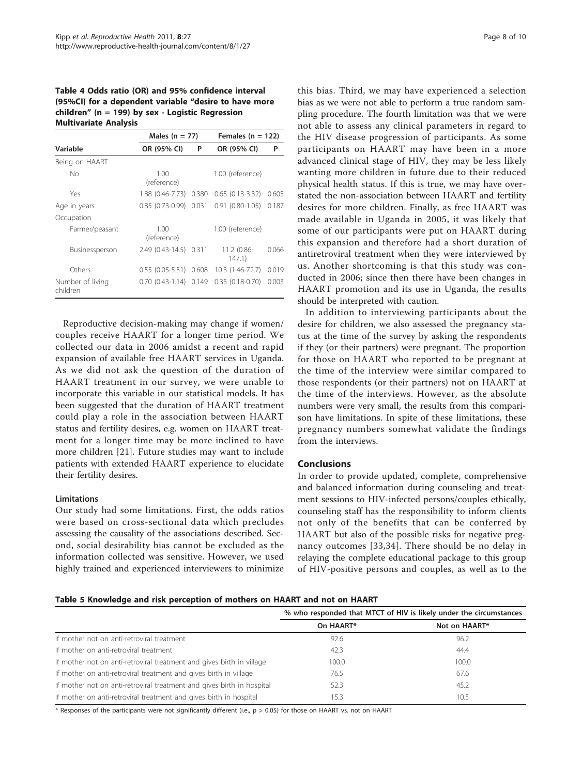# <span id="page-7-0"></span>Table 4 Odds ratio (OR) and 95% confidence interval (95%CI) for a dependent variable "desire to have more children" (n = 199) by sex - Logistic Regression Multivariate Analysis

|                              | Males $(n = 77)$       |       | Females ( $n = 122$ )  |       |
|------------------------------|------------------------|-------|------------------------|-------|
| Variable                     | OR (95% CI)            | P     | OR (95% CI)            | P     |
| Being on HAART               |                        |       |                        |       |
| No                           | 1.00<br>(reference)    |       | 1.00 (reference)       |       |
| Yes                          | 1.88 (0.46-7.73)       | 0.380 | $0.65$ $(0.13 - 3.32)$ | 0.605 |
| Age in years                 | 0.85 (0.73-0.99) 0.031 |       | $0.91(0.80-1.05)$      | 0.187 |
| Occupation                   |                        |       |                        |       |
| Farmer/peasant               | 1.00<br>(reference)    |       | 1.00 (reference)       |       |
| Businessperson               | 2.49 (0.43-14.5) 0.311 |       | 11.2 (0.86-<br>147.1)  | 0.066 |
| Others                       | $0.55(0.05-5.51)0.608$ |       | 10.3 (1.46-72.7)       | 0.019 |
| Number of living<br>children | $0.70(0.43-1.14)0.149$ |       | $0.35(0.18-0.70)$      | 0.003 |

Reproductive decision-making may change if women/ couples receive HAART for a longer time period. We collected our data in 2006 amidst a recent and rapid expansion of available free HAART services in Uganda. As we did not ask the question of the duration of HAART treatment in our survey, we were unable to incorporate this variable in our statistical models. It has been suggested that the duration of HAART treatment could play a role in the association between HAART status and fertility desires, e.g. women on HAART treatment for a longer time may be more inclined to have more children [[21](#page-8-0)]. Future studies may want to include patients with extended HAART experience to elucidate their fertility desires.

# Limitations

Our study had some limitations. First, the odds ratios were based on cross-sectional data which precludes assessing the causality of the associations described. Second, social desirability bias cannot be excluded as the information collected was sensitive. However, we used highly trained and experienced interviewers to minimize this bias. Third, we may have experienced a selection bias as we were not able to perform a true random sampling procedure. The fourth limitation was that we were not able to assess any clinical parameters in regard to the HIV disease progression of participants. As some participants on HAART may have been in a more advanced clinical stage of HIV, they may be less likely wanting more children in future due to their reduced physical health status. If this is true, we may have overstated the non-association between HAART and fertility desires for more children. Finally, as free HAART was made available in Uganda in 2005, it was likely that some of our participants were put on HAART during this expansion and therefore had a short duration of antiretroviral treatment when they were interviewed by us. Another shortcoming is that this study was conducted in 2006; since then there have been changes in HAART promotion and its use in Uganda, the results should be interpreted with caution.

In addition to interviewing participants about the desire for children, we also assessed the pregnancy status at the time of the survey by asking the respondents if they (or their partners) were pregnant. The proportion for those on HAART who reported to be pregnant at the time of the interview were similar compared to those respondents (or their partners) not on HAART at the time of the interviews. However, as the absolute numbers were very small, the results from this comparison have limitations. In spite of these limitations, these pregnancy numbers somewhat validate the findings from the interviews.

# Conclusions

In order to provide updated, complete, comprehensive and balanced information during counseling and treatment sessions to HIV-infected persons/couples ethically, counseling staff has the responsibility to inform clients not only of the benefits that can be conferred by HAART but also of the possible risks for negative pregnancy outcomes [[33](#page-9-0),[34](#page-9-0)]. There should be no delay in relaying the complete educational package to this group of HIV-positive persons and couples, as well as to the

# Table 5 Knowledge and risk perception of mothers on HAART and not on HAART

|                                                                        | % who responded that MTCT of HIV is likely under the circumstances |               |
|------------------------------------------------------------------------|--------------------------------------------------------------------|---------------|
|                                                                        | On HAART*                                                          | Not on HAART* |
| If mother not on anti-retroviral treatment                             | 92.6                                                               | 96.2          |
| If mother on anti-retroviral treatment                                 | 42.3                                                               | 44.4          |
| If mother not on anti-retroviral treatment and gives birth in village  | 100.0                                                              | 100.0         |
| If mother on anti-retroviral treatment and gives birth in village      | 76.5                                                               | 67.6          |
| If mother not on anti-retroviral treatment and gives birth in hospital | 52.3                                                               | 45.2          |
| If mother on anti-retroviral treatment and gives birth in hospital     | 15.3                                                               | 10.5          |

\* Responses of the participants were not significantly different (i.e., p > 0.05) for those on HAART vs. not on HAART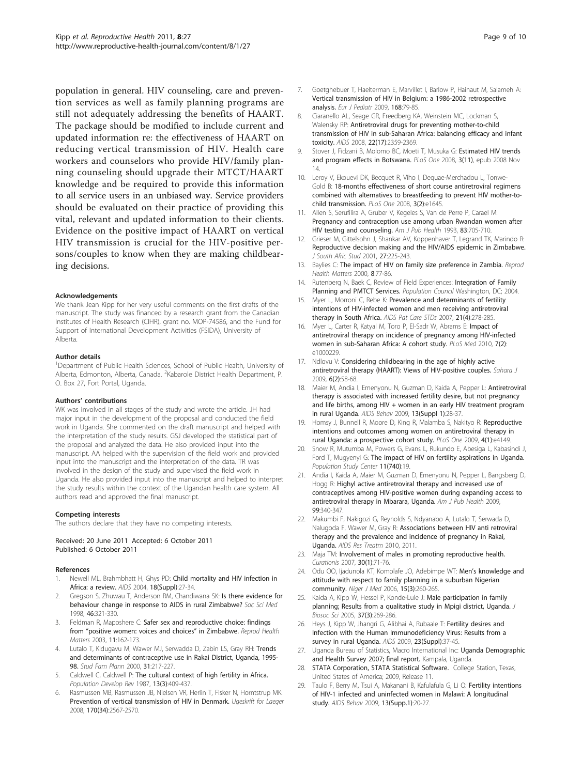<span id="page-8-0"></span>population in general. HIV counseling, care and prevention services as well as family planning programs are still not adequately addressing the benefits of HAART. The package should be modified to include current and updated information re: the effectiveness of HAART on reducing vertical transmission of HIV. Health care workers and counselors who provide HIV/family planning counseling should upgrade their MTCT/HAART knowledge and be required to provide this information to all service users in an unbiased way. Service providers should be evaluated on their practice of providing this vital, relevant and updated information to their clients. Evidence on the positive impact of HAART on vertical HIV transmission is crucial for the HIV-positive persons/couples to know when they are making childbearing decisions.

#### Acknowledgements

We thank Jean Kipp for her very useful comments on the first drafts of the manuscript. The study was financed by a research grant from the Canadian Institutes of Health Research (CIHR), grant no. MOP-74586, and the Fund for Support of International Development Activities (FSIDA), University of Alberta.

#### Author details

<sup>1</sup>Department of Public Health Sciences, School of Public Health, University of Alberta, Edmonton, Alberta, Canada. <sup>2</sup>Kabarole District Health Department, P. O. Box 27, Fort Portal, Uganda.

#### Authors' contributions

WK was involved in all stages of the study and wrote the article. JH had major input in the development of the proposal and conducted the field work in Uganda. She commented on the draft manuscript and helped with the interpretation of the study results. GSJ developed the statistical part of the proposal and analyzed the data. He also provided input into the manuscript. AA helped with the supervision of the field work and provided input into the manuscript and the interpretation of the data. TR was involved in the design of the study and supervised the field work in Uganda. He also provided input into the manuscript and helped to interpret the study results within the context of the Ugandan health care system. All authors read and approved the final manuscript.

#### Competing interests

The authors declare that they have no competing interests.

Received: 20 June 2011 Accepted: 6 October 2011 Published: 6 October 2011

#### References

- 1. Newell ML, Brahmbhatt H, Ghys PD: Child mortality and HIV infection in Africa: a review. AIDS 2004, 18(Suppl):27-34.
- 2. Gregson S, Zhuwau T, Anderson RM, Chandiwana SK: [Is there evidence for](http://www.ncbi.nlm.nih.gov/pubmed/9460814?dopt=Abstract) [behaviour change in response to AIDS in rural Zimbabwe?](http://www.ncbi.nlm.nih.gov/pubmed/9460814?dopt=Abstract) Soc Sci Med 1998, 46:321-330.
- 3. Feldman R, Maposhere C: [Safer sex and reproductive choice: findings](http://www.ncbi.nlm.nih.gov/pubmed/14708407?dopt=Abstract) from "[positive women: voices and choices](http://www.ncbi.nlm.nih.gov/pubmed/14708407?dopt=Abstract)" in Zimbabwe. Reprod Health Matters 2003, 11:162-173.
- 4. Lutalo T, Kidugavu M, Wawer MJ, Serwadda D, Zabin LS, Gray RH: [Trends](http://www.ncbi.nlm.nih.gov/pubmed/11020933?dopt=Abstract) [and determinants of contraceptive use in Rakai District, Uganda, 1995-](http://www.ncbi.nlm.nih.gov/pubmed/11020933?dopt=Abstract) [98.](http://www.ncbi.nlm.nih.gov/pubmed/11020933?dopt=Abstract) Stud Fam Plann 2000, 31:217-227.
- Caldwell C, Caldwell P: The cultural context of high fertility in Africa. Population Develop Rev 1987, 13(3):409-437.
- 6. Rasmussen MB, Rasmussen JB, Nielsen VR, Herlin T, Fisker N, Horntstrup MK: [Prevention of vertical transmission of HIV in Denmark.](http://www.ncbi.nlm.nih.gov/pubmed/18761841?dopt=Abstract) Ugeskrift for Laeger 2008, 170(34):2567-2570.
- 7. Goetghebuer T, Haelterman E, Marvillet I, Barlow P, Hainaut M, Salameh A: [Vertical transmission of HIV in Belgium: a 1986-2002 retrospective](http://www.ncbi.nlm.nih.gov/pubmed/18392638?dopt=Abstract) [analysis.](http://www.ncbi.nlm.nih.gov/pubmed/18392638?dopt=Abstract) Eur J Pediatr 2009, 168:79-85.
- 8. Ciaranello AL, Seage GR, Freedberg KA, Weinstein MC, Lockman S, Walensky RP: [Antiretroviral drugs for preventing mother-to-child](http://www.ncbi.nlm.nih.gov/pubmed/18981776?dopt=Abstract) [transmission of HIV in sub-Saharan Africa: balancing efficacy and infant](http://www.ncbi.nlm.nih.gov/pubmed/18981776?dopt=Abstract) [toxicity.](http://www.ncbi.nlm.nih.gov/pubmed/18981776?dopt=Abstract) AIDS 2008, 22(17):2359-2369.
- 9. Stover J, Fidzani B, Molomo BC, Moeti T, Musuka G: Estimated HIV trends and program effects in Botswana. PLoS One 2008, 3(11), epub 2008 Nov 14.
- 10. Leroy V, Ekouevi DK, Becquet R, Viho I, Dequae-Merchadou L, Tonwe-Gold B: [18-months effectiveness of short course antiretroviral regimens](http://www.ncbi.nlm.nih.gov/pubmed/18286200?dopt=Abstract) [combined with alternatives to breastfeeding to prevent HIV mother-to](http://www.ncbi.nlm.nih.gov/pubmed/18286200?dopt=Abstract)[child transmission.](http://www.ncbi.nlm.nih.gov/pubmed/18286200?dopt=Abstract) PLoS One 2008, 3(2):e1645.
- 11. Allen S, Serufilira A, Gruber V, Kegeles S, Van de Perre P, Carael M: Pregnancy and contraception use among urban Rwandan women after HIV testing and counseling. Am J Pub Health 1993, 83:705-710.
- 12. Grieser M, Gittelsohn J, Shankar AV, Koppenhaver T, Legrand TK, Marindo R: Reproductive decision making and the HIV/AIDS epidemic in Zimbabwe. J South Afric Stud 2001, 27:225-243.
- 13. Baylies C: [The impact of HIV on family size preference in Zambia.](http://www.ncbi.nlm.nih.gov/pubmed/11424271?dopt=Abstract) Reprod Health Matters 2000, 8:77-86.
- 14. Rutenberg N, Baek C, Review of Field Experiences: Integration of Family Planning and PMTCT Services. Population Council Washington, DC; 2004.
- 15. Myer L, Morroni C, Rebe K: Prevalence and determinants of fertility intentions of HIV-infected women and men receiving antiretroviral therapy in South Africa. AIDS Pat Care STDs 2007, 21(4):278-285.
- 16. Myer L, Carter R, Katyal M, Toro P, El-Sadr W, Abrams E: [Impact of](http://www.ncbi.nlm.nih.gov/pubmed/20161723?dopt=Abstract) [antiretroviral therapy on incidence of pregnancy among HIV-infected](http://www.ncbi.nlm.nih.gov/pubmed/20161723?dopt=Abstract) [women in sub-Saharan Africa: A cohort study.](http://www.ncbi.nlm.nih.gov/pubmed/20161723?dopt=Abstract) PLoS Med 2010, 7(2): e1000229.
- 17. Ndlovu V: [Considering childbearing in the age of highly active](http://www.ncbi.nlm.nih.gov/pubmed/19936407?dopt=Abstract) [antiretroviral therapy \(HAART\): Views of HIV-positive couples.](http://www.ncbi.nlm.nih.gov/pubmed/19936407?dopt=Abstract) Sahara J 2009, 6(2):58-68.
- 18. Maier M, Andia I, Emenyonu N, Guzman D, Kaida A, Pepper L: [Antiretroviral](http://www.ncbi.nlm.nih.gov/pubmed/18389364?dopt=Abstract) [therapy is associated with increased fertility desire, but not pregnancy](http://www.ncbi.nlm.nih.gov/pubmed/18389364?dopt=Abstract) [and life births, among HIV + women in an early HIV treatment program](http://www.ncbi.nlm.nih.gov/pubmed/18389364?dopt=Abstract) [in rural Uganda.](http://www.ncbi.nlm.nih.gov/pubmed/18389364?dopt=Abstract) AIDS Behav 2009, 13(Suppl 1):28-37.
- 19. Homsy J, Bunnell R, Moore D, King R, Malamba S, Nakityo R: [Reproductive](http://www.ncbi.nlm.nih.gov/pubmed/19129911?dopt=Abstract) [intentions and outcomes among women on antiretroviral therapy in](http://www.ncbi.nlm.nih.gov/pubmed/19129911?dopt=Abstract) [rural Uganda: a prospective cohort study.](http://www.ncbi.nlm.nih.gov/pubmed/19129911?dopt=Abstract) PLoS One 2009, 4(1):e4149.
- 20. Snow R, Mutumba M, Powers G, Evans L, Rukundo E, Abesiga L, Kabasindi J, Ford T, Mugyenyi G: The impact of HIV on fertility aspirations in Uganda. Population Study Center 11(740):19.
- 21. Andia I, Kaida A, Maier M, Guzman D, Emenyonu N, Pepper L, Bangsberg D, Hogg R: Highyl active antiretroviral therapy and increased use of contraceptives among HIV-positive women during expanding access to antiretroviral therapy in Mbarara, Uganda. Am J Pub Health 2009, 99:340-347.
- 22. Makumbi F, Nakigozi G, Reynolds S, Ndyanabo A, Lutalo T, Serwada D, Nalugoda F, Wawer M, Gray R: Associations between HIV anti retroviral therapy and the prevalence and incidence of pregnancy in Rakai, Uganda. AIDS Res Treatm 2010, 2011.
- 23. Maja TM: [Involvement of males in promoting reproductive health.](http://www.ncbi.nlm.nih.gov/pubmed/17515319?dopt=Abstract) Curationis 2007, 30(1):71-76.
- 24. Odu OO, Ijadunola KT, Komolafe JO, Adebimpe WT: Men'[s knowledge and](http://www.ncbi.nlm.nih.gov/pubmed/17111755?dopt=Abstract) [attitude with respect to family planning in a suburban Nigerian](http://www.ncbi.nlm.nih.gov/pubmed/17111755?dopt=Abstract) [community.](http://www.ncbi.nlm.nih.gov/pubmed/17111755?dopt=Abstract) Niger J Med 2006, 15(3):260-265.
- 25. Kaida A, Kipp W, Hessel P, Konde-Lule J: [Male participation in family](http://www.ncbi.nlm.nih.gov/pubmed/15906884?dopt=Abstract) [planning; Results from a qualitative study in Mpigi district, Uganda.](http://www.ncbi.nlm.nih.gov/pubmed/15906884?dopt=Abstract) J Biosoc Sci 2005, 37(3):269-286.
- 26. Heys J, Kipp W, Jhangri G, Alibhai A, Rubaale T: Fertility desires and Infection with the Human Immunodeficiency Virus: Results from a survey in rural Uganda. AIDS 2009, 23(Suppl):37-45.
- 27. Uganda Bureau of Statistics, Macro International Inc: Uganda Demographic and Health Survey 2007; final report. Kampala, Uganda.
- 28. STATA Corporation, STATA Statistical Software. College Station, Texas, United States of America; 2009, Release 11.
- 29. Taulo F, Berry M, Tsui A, Makanani B, Kafulafula G, Li Q: [Fertility intentions](http://www.ncbi.nlm.nih.gov/pubmed/19308718?dopt=Abstract) [of HIV-1 infected and uninfected women in Malawi: A longitudinal](http://www.ncbi.nlm.nih.gov/pubmed/19308718?dopt=Abstract) [study.](http://www.ncbi.nlm.nih.gov/pubmed/19308718?dopt=Abstract) AIDS Behav 2009, 13(Supp.1):20-27.